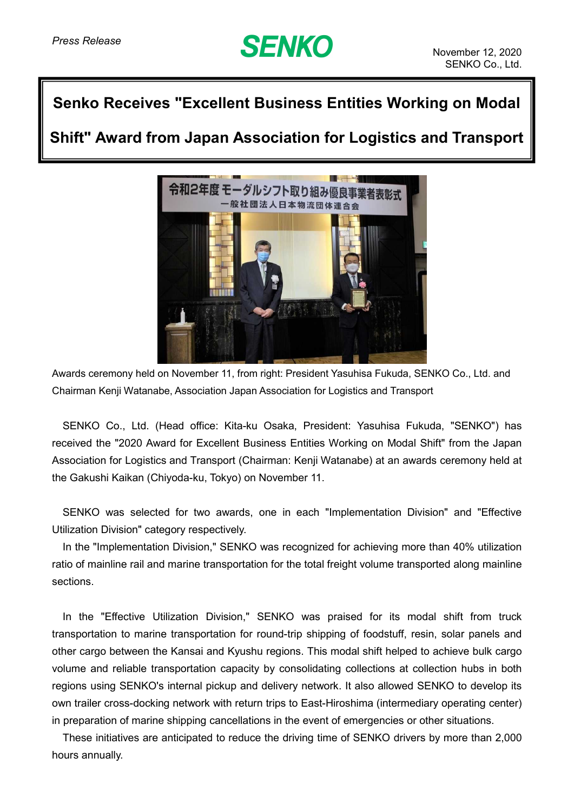## **SENKO**

## **Senko Receives "Excellent Business Entities Working on Modal**

**Shift" Award from Japan Association for Logistics and Transport**



Awards ceremony held on November 11, from right: President Yasuhisa Fukuda, SENKO Co., Ltd. and Chairman Kenji Watanabe, Association Japan Association for Logistics and Transport

SENKO Co., Ltd. (Head office: Kita-ku Osaka, President: Yasuhisa Fukuda, "SENKO") has received the "2020 Award for Excellent Business Entities Working on Modal Shift" from the Japan Association for Logistics and Transport (Chairman: Kenji Watanabe) at an awards ceremony held at the Gakushi Kaikan (Chiyoda-ku, Tokyo) on November 11.

SENKO was selected for two awards, one in each "Implementation Division" and "Effective Utilization Division" category respectively.

In the "Implementation Division," SENKO was recognized for achieving more than 40% utilization ratio of mainline rail and marine transportation for the total freight volume transported along mainline sections.

In the "Effective Utilization Division," SENKO was praised for its modal shift from truck transportation to marine transportation for round-trip shipping of foodstuff, resin, solar panels and other cargo between the Kansai and Kyushu regions. This modal shift helped to achieve bulk cargo volume and reliable transportation capacity by consolidating collections at collection hubs in both regions using SENKO's internal pickup and delivery network. It also allowed SENKO to develop its own trailer cross-docking network with return trips to East-Hiroshima (intermediary operating center) in preparation of marine shipping cancellations in the event of emergencies or other situations.

These initiatives are anticipated to reduce the driving time of SENKO drivers by more than 2,000 hours annually.